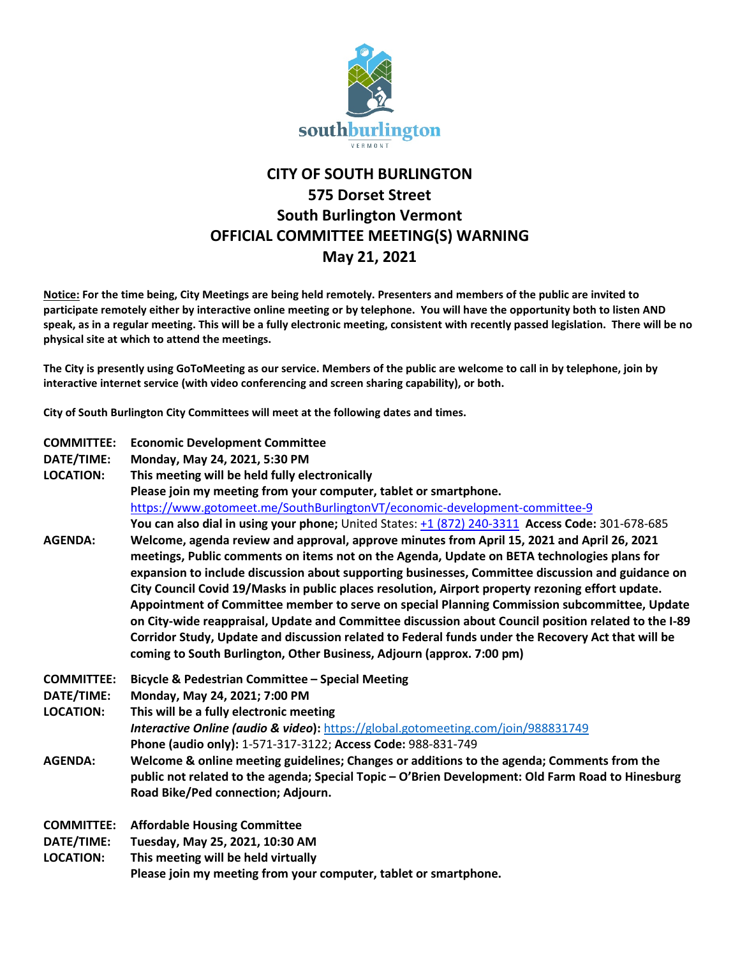

## **CITY OF SOUTH BURLINGTON 575 Dorset Street South Burlington Vermont OFFICIAL COMMITTEE MEETING(S) WARNING May 21, 2021**

**Notice: For the time being, City Meetings are being held remotely. Presenters and members of the public are invited to participate remotely either by interactive online meeting or by telephone. You will have the opportunity both to listen AND speak, as in a regular meeting. This will be a fully electronic meeting, consistent with recently passed legislation. There will be no physical site at which to attend the meetings.** 

**The City is presently using GoToMeeting as our service. Members of the public are welcome to call in by telephone, join by interactive internet service (with video conferencing and screen sharing capability), or both.**

**City of South Burlington City Committees will meet at the following dates and times.** 

| <b>COMMITTEE:</b> | <b>Economic Development Committee</b>                                                                                                             |
|-------------------|---------------------------------------------------------------------------------------------------------------------------------------------------|
| DATE/TIME:        | Monday, May 24, 2021, 5:30 PM                                                                                                                     |
| <b>LOCATION:</b>  | This meeting will be held fully electronically                                                                                                    |
|                   | Please join my meeting from your computer, tablet or smartphone.                                                                                  |
|                   | https://www.gotomeet.me/SouthBurlingtonVT/economic-development-committee-9                                                                        |
|                   | You can also dial in using your phone; United States: +1 (872) 240-3311 Access Code: 301-678-685                                                  |
| <b>AGENDA:</b>    | Welcome, agenda review and approval, approve minutes from April 15, 2021 and April 26, 2021                                                       |
|                   | meetings, Public comments on items not on the Agenda, Update on BETA technologies plans for                                                       |
|                   | expansion to include discussion about supporting businesses, Committee discussion and guidance on                                                 |
|                   | City Council Covid 19/Masks in public places resolution, Airport property rezoning effort update.                                                 |
|                   | Appointment of Committee member to serve on special Planning Commission subcommittee, Update                                                      |
|                   | on City-wide reappraisal, Update and Committee discussion about Council position related to the I-89                                              |
|                   | Corridor Study, Update and discussion related to Federal funds under the Recovery Act that will be                                                |
|                   | coming to South Burlington, Other Business, Adjourn (approx. 7:00 pm)                                                                             |
| <b>COMMITTEE:</b> | Bicycle & Pedestrian Committee - Special Meeting                                                                                                  |
|                   |                                                                                                                                                   |
| DATE/TIME:        | Monday, May 24, 2021; 7:00 PM                                                                                                                     |
| <b>LOCATION:</b>  |                                                                                                                                                   |
|                   | This will be a fully electronic meeting                                                                                                           |
|                   | Interactive Online (audio & video): https://global.gotomeeting.com/join/988831749<br>Phone (audio only): 1-571-317-3122; Access Code: 988-831-749 |
| <b>AGENDA:</b>    | Welcome & online meeting guidelines; Changes or additions to the agenda; Comments from the                                                        |
|                   | public not related to the agenda; Special Topic - O'Brien Development: Old Farm Road to Hinesburg                                                 |
|                   | Road Bike/Ped connection; Adjourn.                                                                                                                |
|                   |                                                                                                                                                   |
| <b>COMMITTEE:</b> | <b>Affordable Housing Committee</b>                                                                                                               |
| DATE/TIME:        | Tuesday, May 25, 2021, 10:30 AM                                                                                                                   |
| <b>LOCATION:</b>  | This meeting will be held virtually<br>Please join my meeting from your computer, tablet or smartphone.                                           |